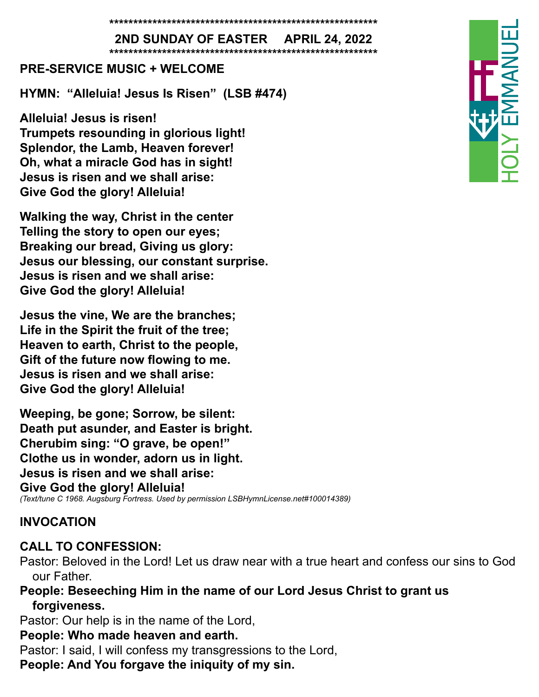**\*\*\*\*\*\*\*\*\*\*\*\*\*\*\*\*\*\*\*\*\*\*\*\*\*\*\*\*\*\*\*\*\*\*\*\*\*\*\*\*\*\*\*\*\*\*\*\*\*\*\*\*\*\*\*\***

**2ND SUNDAY OF EASTER APRIL 24, 2022 \*\*\*\*\*\*\*\*\*\*\*\*\*\*\*\*\*\*\*\*\*\*\*\*\*\*\*\*\*\*\*\*\*\*\*\*\*\*\*\*\*\*\*\*\*\*\*\*\*\*\*\*\*\*\*\***

#### **PRE-SERVICE MUSIC + WELCOME**

**HYMN: "Alleluia! Jesus Is Risen" (LSB #474)**

**Alleluia! Jesus is risen! Trumpets resounding in glorious light! Splendor, the Lamb, Heaven forever! Oh, what a miracle God has in sight! Jesus is risen and we shall arise: Give God the glory! Alleluia!**

**Walking the way, Christ in the center Telling the story to open our eyes; Breaking our bread, Giving us glory: Jesus our blessing, our constant surprise. Jesus is risen and we shall arise: Give God the glory! Alleluia!**

**Jesus the vine, We are the branches; Life in the Spirit the fruit of the tree; Heaven to earth, Christ to the people, Gift of the future now flowing to me. Jesus is risen and we shall arise: Give God the glory! Alleluia!**

**Weeping, be gone; Sorrow, be silent: Death put asunder, and Easter is bright. Cherubim sing: "O grave, be open!" Clothe us in wonder, adorn us in light. Jesus is risen and we shall arise: Give God the glory! Alleluia!** *(Text/tune C 1968. Augsburg Fortress. Used by permission LSBHymnLicense.net#100014389)*

#### **INVOCATION**

#### **CALL TO CONFESSION:**

- Pastor: Beloved in the Lord! Let us draw near with a true heart and confess our sins to God our Father.
- **People: Beseeching Him in the name of our Lord Jesus Christ to grant us forgiveness.**

Pastor: Our help is in the name of the Lord,

#### **People: Who made heaven and earth.**

Pastor: I said, I will confess my transgressions to the Lord,

**People: And You forgave the iniquity of my sin.**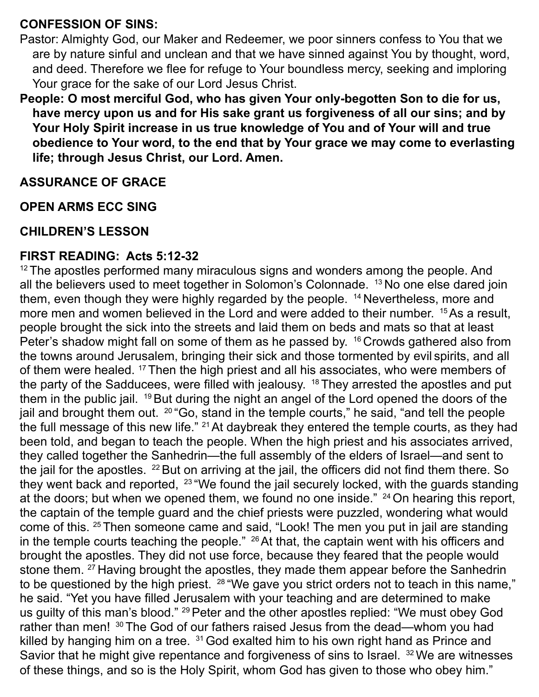#### **CONFESSION OF SINS:**

Pastor: Almighty God, our Maker and Redeemer, we poor sinners confess to You that we are by nature sinful and unclean and that we have sinned against You by thought, word, and deed. Therefore we flee for refuge to Your boundless mercy, seeking and imploring Your grace for the sake of our Lord Jesus Christ.

**People: O most merciful God, who has given Your only-begotten Son to die for us, have mercy upon us and for His sake grant us forgiveness of all our sins; and by Your Holy Spirit increase in us true knowledge of You and of Your will and true obedience to Your word, to the end that by Your grace we may come to everlasting life; through Jesus Christ, our Lord. Amen.** 

#### **ASSURANCE OF GRACE**

#### **OPEN ARMS ECC SING**

#### **CHILDREN'S LESSON**

#### **FIRST READING: Acts 5:12-32**

<sup>12</sup> The apostles performed many miraculous signs and wonders among the people. And all the believers used to meet together in Solomon's Colonnade. 13 No one else dared join them, even though they were highly regarded by the people. <sup>14</sup> Nevertheless, more and more men and women believed in the Lord and were added to their number. <sup>15</sup>As a result, people brought the sick into the streets and laid them on beds and mats so that at least Peter's shadow might fall on some of them as he passed by. <sup>16</sup> Crowds gathered also from the towns around Jerusalem, bringing their sick and those tormented by evil spirits, and all of them were healed. <sup>17</sup> Then the high priest and all his associates, who were members of the party of the Sadducees, were filled with jealousy.  $18$  They arrested the apostles and put them in the public jail. <sup>19</sup> But during the night an angel of the Lord opened the doors of the jail and brought them out. <sup>20</sup> "Go, stand in the temple courts," he said, "and tell the people the full message of this new life."  $21$  At daybreak they entered the temple courts, as they had been told, and began to teach the people. When the high priest and his associates arrived, they called together the Sanhedrin—the full assembly of the elders of Israel—and sent to the jail for the apostles. 22 But on arriving at the jail, the officers did not find them there. So they went back and reported, <sup>23</sup> "We found the jail securely locked, with the guards standing at the doors; but when we opened them, we found no one inside." <sup>24</sup> On hearing this report, the captain of the temple guard and the chief priests were puzzled, wondering what would come of this. 25 Then someone came and said, "Look! The men you put in jail are standing in the temple courts teaching the people."  $^{26}$  At that, the captain went with his officers and brought the apostles. They did not use force, because they feared that the people would stone them. <sup>27</sup> Having brought the apostles, they made them appear before the Sanhedrin to be questioned by the high priest. <sup>28</sup> "We gave you strict orders not to teach in this name," he said. "Yet you have filled Jerusalem with your teaching and are determined to make us guilty of this man's blood." <sup>29</sup> Peter and the other apostles replied: "We must obey God rather than men! <sup>30</sup> The God of our fathers raised Jesus from the dead—whom you had killed by hanging him on a tree. <sup>31</sup> God exalted him to his own right hand as Prince and Savior that he might give repentance and forgiveness of sins to Israel. <sup>32</sup> We are witnesses of these things, and so is the Holy Spirit, whom God has given to those who obey him."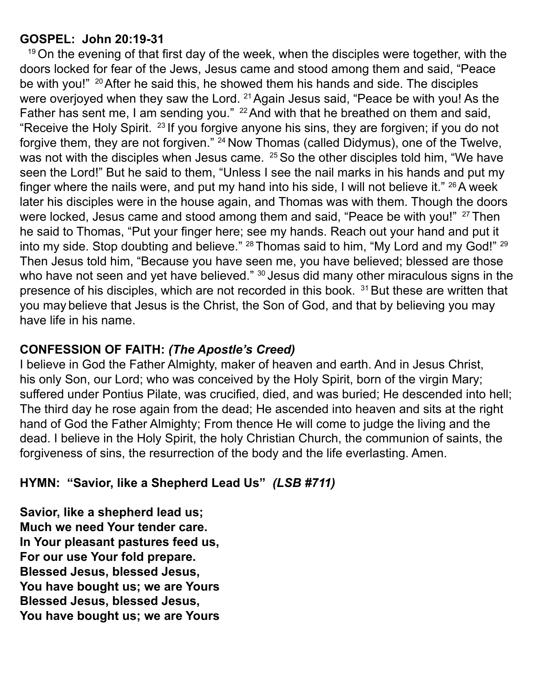#### **GOSPEL: John 20:19-31**

 $19$ On the evening of that first day of the week, when the disciples were together, with the doors locked for fear of the Jews, Jesus came and stood among them and said, "Peace be with you!" <sup>20</sup> After he said this, he showed them his hands and side. The disciples were overjoyed when they saw the Lord. <sup>21</sup> Again Jesus said, "Peace be with you! As the Father has sent me, I am sending you." <sup>22</sup> And with that he breathed on them and said, "Receive the Holy Spirit.  $23$  If you forgive anyone his sins, they are forgiven; if you do not forgive them, they are not forgiven." <sup>24</sup> Now Thomas (called Didymus), one of the Twelve, was not with the disciples when Jesus came. <sup>25</sup> So the other disciples told him, "We have seen the Lord!" But he said to them, "Unless I see the nail marks in his hands and put my finger where the nails were, and put my hand into his side, I will not believe it."  $^{26}$ A week later his disciples were in the house again, and Thomas was with them. Though the doors were locked, Jesus came and stood among them and said, "Peace be with you!" <sup>27</sup> Then he said to Thomas, "Put your finger here; see my hands. Reach out your hand and put it into my side. Stop doubting and believe." <sup>28</sup> Thomas said to him, "My Lord and my God!" <sup>29</sup> Then Jesus told him, "Because you have seen me, you have believed; blessed are those who have not seen and yet have believed." <sup>30</sup> Jesus did many other miraculous signs in the presence of his disciples, which are not recorded in this book. <sup>31</sup> But these are written that you may believe that Jesus is the Christ, the Son of God, and that by believing you may have life in his name.

### **CONFESSION OF FAITH:** *(The Apostle's Creed)*

I believe in God the Father Almighty, maker of heaven and earth. And in Jesus Christ, his only Son, our Lord; who was conceived by the Holy Spirit, born of the virgin Mary; suffered under Pontius Pilate, was crucified, died, and was buried; He descended into hell; The third day he rose again from the dead; He ascended into heaven and sits at the right hand of God the Father Almighty; From thence He will come to judge the living and the dead. I believe in the Holy Spirit, the holy Christian Church, the communion of saints, the forgiveness of sins, the resurrection of the body and the life everlasting. Amen.

### **HYMN: "Savior, like a Shepherd Lead Us"** *(LSB #711)*

**Savior, like a shepherd lead us; Much we need Your tender care. In Your pleasant pastures feed us, For our use Your fold prepare. Blessed Jesus, blessed Jesus, You have bought us; we are Yours Blessed Jesus, blessed Jesus, You have bought us; we are Yours**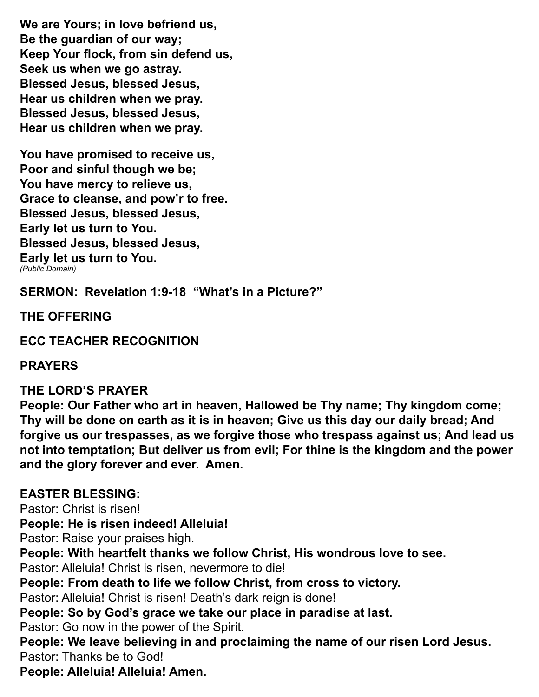**We are Yours; in love befriend us, Be the guardian of our way; Keep Your flock, from sin defend us, Seek us when we go astray. Blessed Jesus, blessed Jesus, Hear us children when we pray. Blessed Jesus, blessed Jesus, Hear us children when we pray.**

**You have promised to receive us, Poor and sinful though we be; You have mercy to relieve us, Grace to cleanse, and pow'r to free. Blessed Jesus, blessed Jesus, Early let us turn to You. Blessed Jesus, blessed Jesus, Early let us turn to You.** *(Public Domain)*

**SERMON: Revelation 1:9-18 "What's in a Picture?"**

**THE OFFERING**

**ECC TEACHER RECOGNITION**

#### **PRAYERS**

#### **THE LORD'S PRAYER**

**People: Our Father who art in heaven, Hallowed be Thy name; Thy kingdom come; Thy will be done on earth as it is in heaven; Give us this day our daily bread; And forgive us our trespasses, as we forgive those who trespass against us; And lead us not into temptation; But deliver us from evil; For thine is the kingdom and the power and the glory forever and ever. Amen.** 

#### **EASTER BLESSING:**

Pastor: Christ is risen!

**People: He is risen indeed! Alleluia!**

Pastor: Raise your praises high.

**People: With heartfelt thanks we follow Christ, His wondrous love to see.**

Pastor: Alleluia! Christ is risen, nevermore to die!

**People: From death to life we follow Christ, from cross to victory.**

Pastor: Alleluia! Christ is risen! Death's dark reign is done!

**People: So by God's grace we take our place in paradise at last.**

Pastor: Go now in the power of the Spirit.

**People: We leave believing in and proclaiming the name of our risen Lord Jesus.** Pastor: Thanks be to God!

**People: Alleluia! Alleluia! Amen.**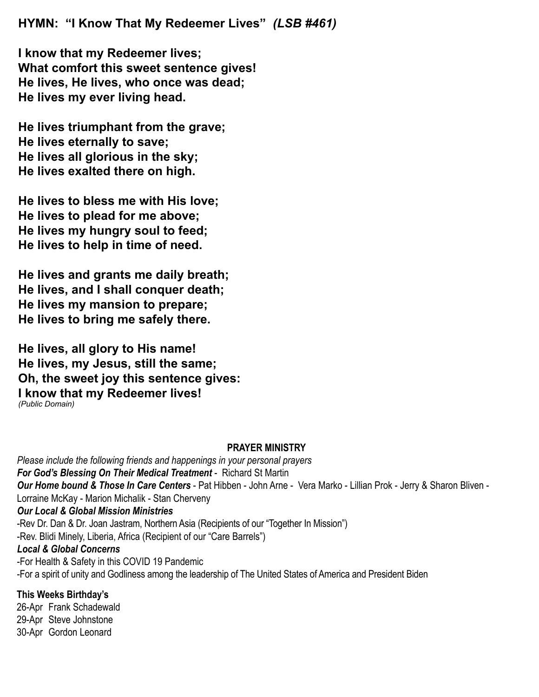**HYMN: "I Know That My Redeemer Lives"** *(LSB #461)*

**I know that my Redeemer lives; What comfort this sweet sentence gives! He lives, He lives, who once was dead; He lives my ever living head.**

**He lives triumphant from the grave; He lives eternally to save; He lives all glorious in the sky; He lives exalted there on high.**

**He lives to bless me with His love; He lives to plead for me above; He lives my hungry soul to feed; He lives to help in time of need.**

**He lives and grants me daily breath; He lives, and I shall conquer death; He lives my mansion to prepare; He lives to bring me safely there.**

**He lives, all glory to His name! He lives, my Jesus, still the same; Oh, the sweet joy this sentence gives: I know that my Redeemer lives!** *(Public Domain)*

#### **PRAYER MINISTRY**

*Please include the following friends and happenings in your personal prayers For God's Blessing On Their Medical Treatment* - Richard St Martin *Our Home bound & Those In Care Centers* - Pat Hibben - John Arne - Vera Marko - Lillian Prok - Jerry & Sharon Bliven - Lorraine McKay - Marion Michalik - Stan Cherveny *Our Local & Global Mission Ministries* -Rev Dr. Dan & Dr. Joan Jastram, Northern Asia (Recipients of our "Together In Mission") -Rev. Blidi Minely, Liberia, Africa (Recipient of our "Care Barrels") *Local & Global Concerns* -For Health & Safety in this COVID 19 Pandemic -For a spirit of unity and Godliness among the leadership of The United States of America and President Biden **This Weeks Birthday's**

26-Apr Frank Schadewald 29-Apr Steve Johnstone 30-Apr Gordon Leonard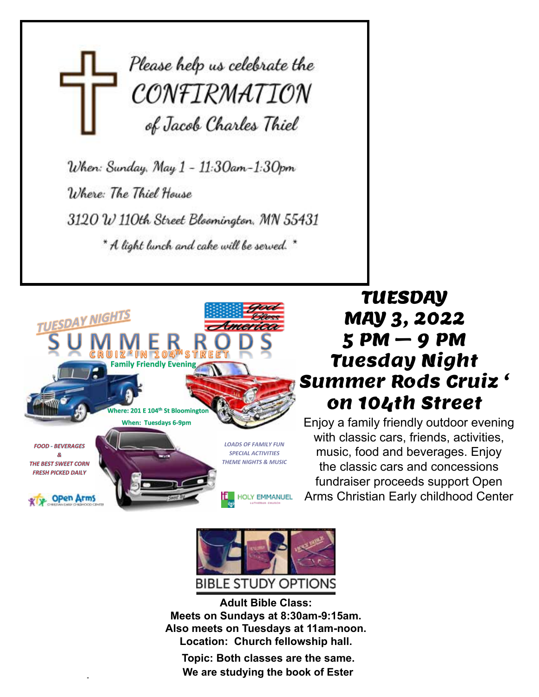# Please help us celebrate the CONFIRMATION of Jacob Charles Thiel

When: Sunday, May 1 - 11:30am-1:30pm Where: The Thiel House 3120 W 110th Street Bloomington, MN 55431 \* A light lunch and cake will be served. \*



## TUESDAY MAY 3, 2022 5 PM – 9 PM Tuesday Night Summer Rods Cruiz ' on 104th Street

Enjoy a family friendly outdoor evening with classic cars, friends, activities, music, food and beverages. Enjoy the classic cars and concessions fundraiser proceeds support Open Arms Christian Early childhood Center



**Adult Bible Class: Meets on Sundays at 8:30am-9:15am. Meets on Sundays at 8:30am-9:15am. Also meets on Tuesdays at 11am-noon. Also meets on Tuesdays at 11am-noon. Location: Church fellowship hall. Adult Bible Class: Adult Bible Class:** w meets on Tuesuays at Train-noom.<br>Leecties - Ohusek fellowskie hell **Adults** Oil **Meets on Sundays at 8:30am-9:15am.** 

Topic: Both classes are the same. **Example 20 You can consider the book of Ester** and the book of Ester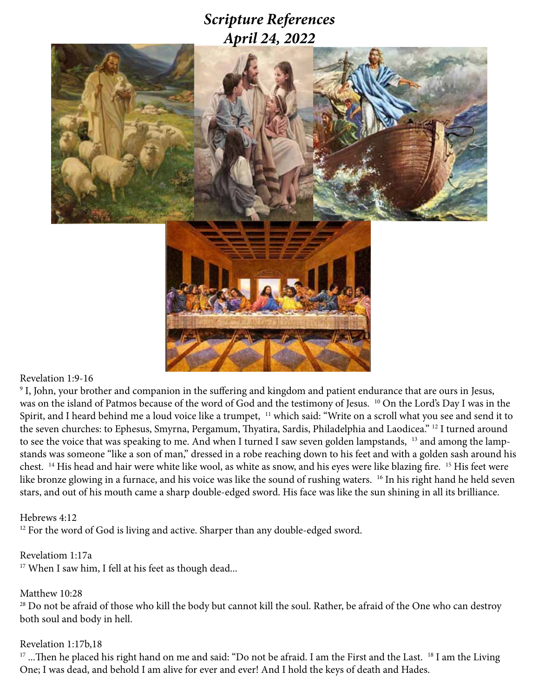### *Scripture References April 24, 2022*



#### Revelation 1:9-16

9 I, John, your brother and companion in the suffering and kingdom and patient endurance that are ours in Jesus, was on the island of Patmos because of the word of God and the testimony of Jesus. <sup>10</sup> On the Lord's Day I was in the Spirit, and I heard behind me a loud voice like a trumpet, 11 which said: "Write on a scroll what you see and send it to the seven churches: to Ephesus, Smyrna, Pergamum, Thyatira, Sardis, Philadelphia and Laodicea." <sup>12</sup> I turned around to see the voice that was speaking to me. And when I turned I saw seven golden lampstands, <sup>13</sup> and among the lampstands was someone "like a son of man," dressed in a robe reaching down to his feet and with a golden sash around his chest. 14 His head and hair were white like wool, as white as snow, and his eyes were like blazing fire. 15 His feet were like bronze glowing in a furnace, and his voice was like the sound of rushing waters. 16 In his right hand he held seven stars, and out of his mouth came a sharp double-edged sword. His face was like the sun shining in all its brilliance.

#### Hebrews 4:12

<sup>12</sup> For the word of God is living and active. Sharper than any double-edged sword.

#### Revelatiom 1:17a

<sup>17</sup> When I saw him, I fell at his feet as though dead...

#### Matthew 10:28

<sup>28</sup> Do not be afraid of those who kill the body but cannot kill the soul. Rather, be afraid of the One who can destroy both soul and body in hell.

#### Revelation 1:17b,18

<sup>17</sup> ...Then he placed his right hand on me and said: "Do not be afraid. I am the First and the Last. <sup>18</sup> I am the Living One; I was dead, and behold I am alive for ever and ever! And I hold the keys of death and Hades.